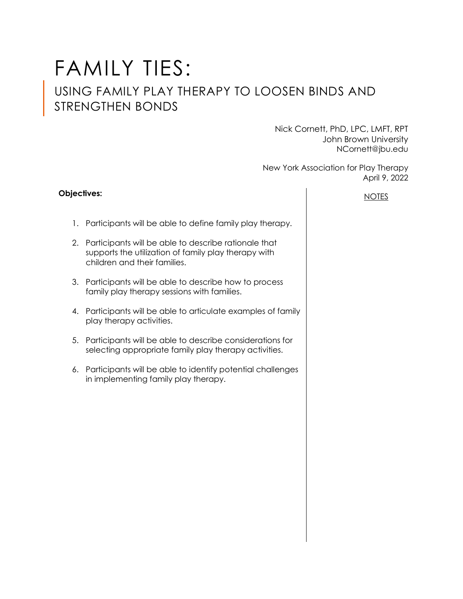# FAMILY TIES:

## USING FAMILY PLAY THERAPY TO LOOSEN BINDS AND STRENGTHEN BONDS

Nick Cornett, PhD, LPC, LMFT, RPT John Brown University NCornett@jbu.edu

New York Association for Play Therapy April 9, 2022

### **Objectives:**

- 1. Participants will be able to define family play therapy.
- 2. Participants will be able to describe rationale that supports the utilization of family play therapy with children and their families.
- 3. Participants will be able to describe how to process family play therapy sessions with families.
- 4. Participants will be able to articulate examples of family play therapy activities.
- 5. Participants will be able to describe considerations for selecting appropriate family play therapy activities.
- 6. Participants will be able to identify potential challenges in implementing family play therapy.

NOTES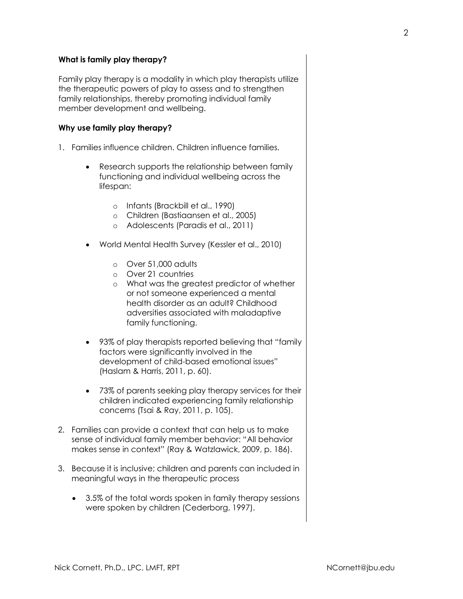#### **What is family play therapy?**

Family play therapy is a modality in which play therapists utilize the therapeutic powers of play to assess and to strengthen family relationships, thereby promoting individual family member development and wellbeing.

#### **Why use family play therapy?**

- 1. Families influence children. Children influence families.
	- Research supports the relationship between family functioning and individual wellbeing across the lifespan:
		- o Infants (Brackbill et al., 1990)
		- o Children (Bastiaansen et al., 2005)
		- o Adolescents (Paradis et al., 2011)
	- World Mental Health Survey (Kessler et al., 2010)
		- o Over 51,000 adults
		- o Over 21 countries
		- o What was the greatest predictor of whether or not someone experienced a mental health disorder as an adult? Childhood adversities associated with maladaptive family functioning.
	- 93% of play therapists reported believing that "family factors were significantly involved in the development of child-based emotional issues" (Haslam & Harris, 2011, p. 60).
	- 73% of parents seeking play therapy services for their children indicated experiencing family relationship concerns (Tsai & Ray, 2011, p. 105).
- 2. Families can provide a context that can help us to make sense of individual family member behavior: "All behavior makes sense in context" (Ray & Watzlawick, 2009, p. 186).
- 3. Because it is inclusive; children and parents can included in meaningful ways in the therapeutic process
	- 3.5% of the total words spoken in family therapy sessions were spoken by children (Cederborg, 1997).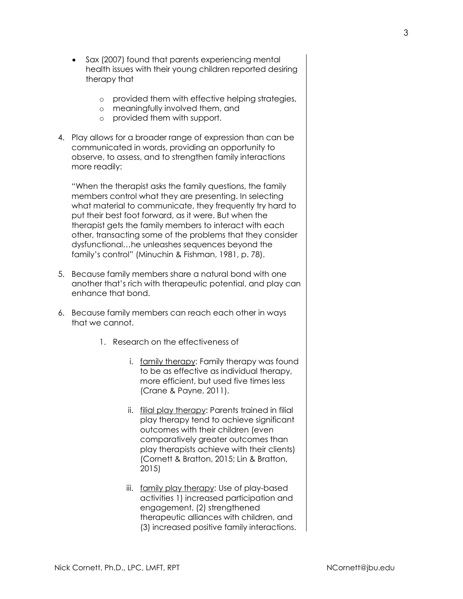- Sax (2007) found that parents experiencing mental health issues with their young children reported desiring therapy that
	- o provided them with effective helping strategies,
	- o meaningfully involved them, and
	- o provided them with support.
- 4. Play allows for a broader range of expression than can be communicated in words, providing an opportunity to observe, to assess, and to strengthen family interactions more readily:

"When the therapist asks the family questions, the family members control what they are presenting. In selecting what material to communicate, they frequently try hard to put their best foot forward, as it were. But when the therapist gets the family members to interact with each other, transacting some of the problems that they consider dysfunctional…he unleashes sequences beyond the family's control" (Minuchin & Fishman, 1981, p. 78).

- 5. Because family members share a natural bond with one another that's rich with therapeutic potential, and play can enhance that bond.
- 6. Because family members can reach each other in ways that we cannot.
	- 1. Research on the effectiveness of
		- i. family therapy: Family therapy was found to be as effective as individual therapy, more efficient, but used five times less (Crane & Payne, 2011).
		- ii. filial play therapy: Parents trained in filial play therapy tend to achieve significant outcomes with their children (even comparatively greater outcomes than play therapists achieve with their clients) (Cornett & Bratton, 2015; Lin & Bratton, 2015)
		- iii. family play therapy: Use of play-based activities 1) increased participation and engagement, (2) strengthened therapeutic alliances with children, and (3) increased positive family interactions.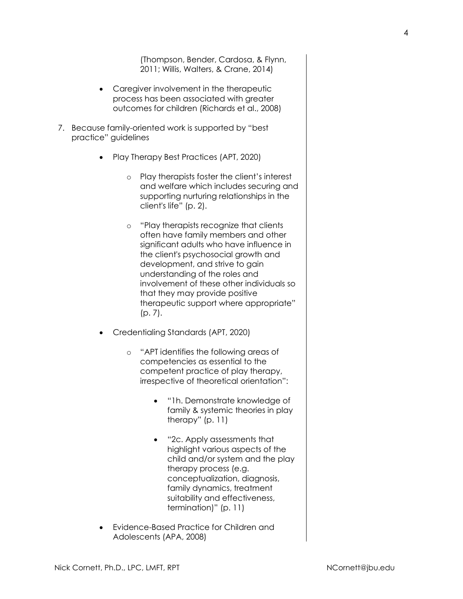(Thompson, Bender, Cardosa, & Flynn, 2011; Willis, Walters, & Crane, 2014)

- Caregiver involvement in the therapeutic process has been associated with greater outcomes for children (Richards et al., 2008)
- 7. Because family-oriented work is supported by "best practice" guidelines
	- Play Therapy Best Practices (APT, 2020)
		- o Play therapists foster the client's interest and welfare which includes securing and supporting nurturing relationships in the client's life" (p. 2).
		- o "Play therapists recognize that clients often have family members and other significant adults who have influence in the client's psychosocial growth and development, and strive to gain understanding of the roles and involvement of these other individuals so that they may provide positive therapeutic support where appropriate" (p. 7).
	- Credentialing Standards (APT, 2020)
		- o "APT identifies the following areas of competencies as essential to the competent practice of play therapy, irrespective of theoretical orientation":
			- "1h. Demonstrate knowledge of family & systemic theories in play therapy" (p. 11)
			- "2c. Apply assessments that highlight various aspects of the child and/or system and the play therapy process (e.g. conceptualization, diagnosis, family dynamics, treatment suitability and effectiveness, termination)" (p. 11)
	- Evidence-Based Practice for Children and Adolescents (APA, 2008)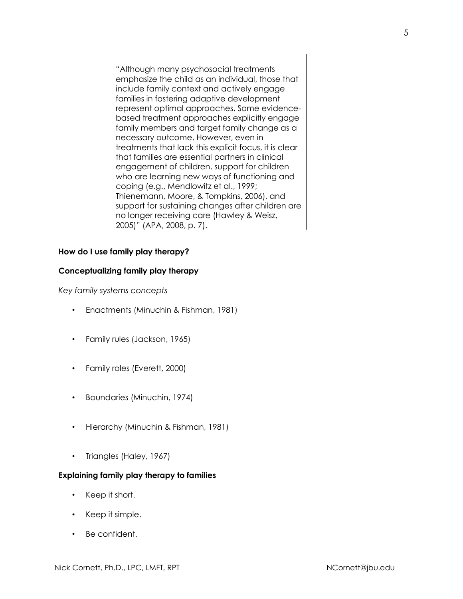"Although many psychosocial treatments emphasize the child as an individual, those that include family context and actively engage families in fostering adaptive development represent optimal approaches. Some evidencebased treatment approaches explicitly engage family members and target family change as a necessary outcome. However, even in treatments that lack this explicit focus, it is clear that families are essential partners in clinical engagement of children, support for children who are learning new ways of functioning and coping (e.g., Mendlowitz et al., 1999; Thienemann, Moore, & Tompkins, 2006), and support for sustaining changes after children are no longer receiving care (Hawley & Weisz, 2005)" (APA, 2008, p. 7).

#### **How do I use family play therapy?**

#### **Conceptualizing family play therapy**

*Key family systems concepts*

- Enactments (Minuchin & Fishman, 1981)
- Family rules (Jackson, 1965)
- Family roles (Everett, 2000)
- Boundaries (Minuchin, 1974)
- Hierarchy (Minuchin & Fishman, 1981)
- Triangles (Haley, 1967)

#### **Explaining family play therapy to families**

- Keep it short.
- Keep it simple.
- Be confident.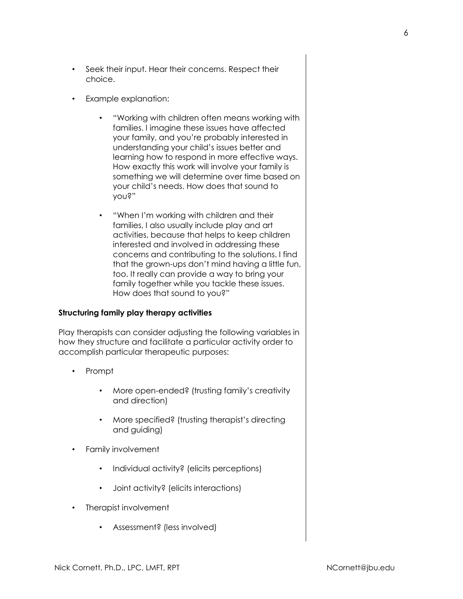- Seek their input. Hear their concerns. Respect their choice.
- Example explanation:
	- "Working with children often means working with families. I imagine these issues have affected your family, and you're probably interested in understanding your child's issues better and learning how to respond in more effective ways. How exactly this work will involve your family is something we will determine over time based on your child's needs. How does that sound to you?"
	- "When I'm working with children and their families, I also usually include play and art activities, because that helps to keep children interested and involved in addressing these concerns and contributing to the solutions. I find that the grown-ups don't mind having a little fun, too. It really can provide a way to bring your family together while you tackle these issues. How does that sound to you?"

#### **Structuring family play therapy activities**

Play therapists can consider adjusting the following variables in how they structure and facilitate a particular activity order to accomplish particular therapeutic purposes:

- Prompt
	- More open-ended? (trusting family's creativity and direction)
	- More specified? (trusting therapist's directing and guiding)
- Family involvement
	- Individual activity? (elicits perceptions)
	- Joint activity? (elicits interactions)
- Therapist involvement
	- Assessment? (less involved)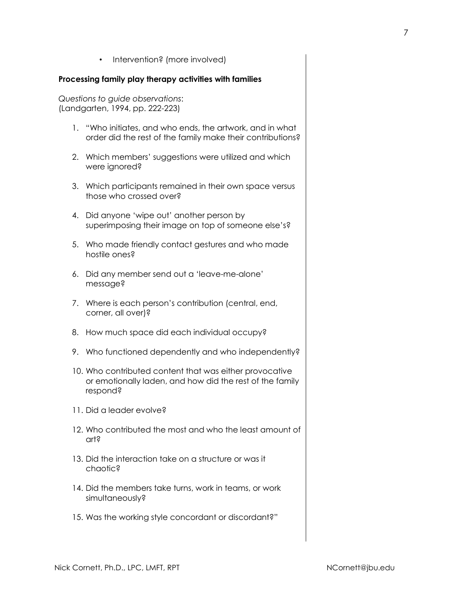• Intervention? (more involved)

#### **Processing family play therapy activities with families**

*Questions to guide observations*: (Landgarten, 1994, pp. 222-223)

- 1. "Who initiates, and who ends, the artwork, and in what order did the rest of the family make their contributions?
- 2. Which members' suggestions were utilized and which were ignored?
- 3. Which participants remained in their own space versus those who crossed over?
- 4. Did anyone 'wipe out' another person by superimposing their image on top of someone else's?
- 5. Who made friendly contact gestures and who made hostile ones?
- 6. Did any member send out a 'leave-me-alone' message?
- 7. Where is each person's contribution (central, end, corner, all over)?
- 8. How much space did each individual occupy?
- 9. Who functioned dependently and who independently?
- 10. Who contributed content that was either provocative or emotionally laden, and how did the rest of the family respond?
- 11. Did a leader evolve?
- 12. Who contributed the most and who the least amount of art?
- 13. Did the interaction take on a structure or was it chaotic?
- 14. Did the members take turns, work in teams, or work simultaneously?
- 15. Was the working style concordant or discordant?"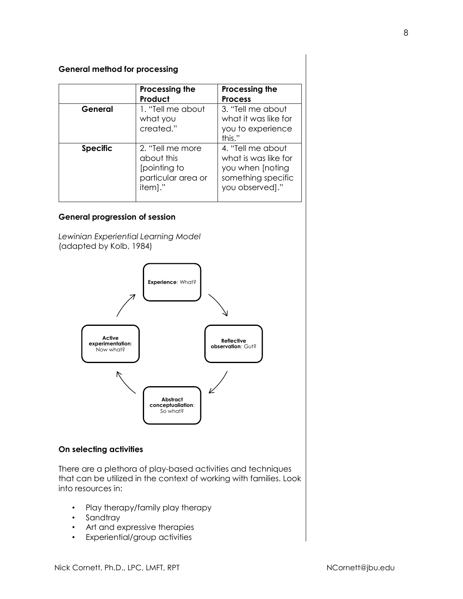#### **General method for processing**

|                 | Processing the<br>Product                                                       | Processing the<br><b>Process</b>                                                                       |
|-----------------|---------------------------------------------------------------------------------|--------------------------------------------------------------------------------------------------------|
| General         | 1. "Tell me about<br>what you<br>created."                                      | 3. "Tell me about<br>what it was like for<br>you to experience<br>this."                               |
| <b>Specific</b> | 2. "Tell me more<br>about this<br>[pointing to<br>particular area or<br>item]." | 4. "Tell me about<br>what is was like for<br>you when [noting<br>something specific<br>you observed]." |

#### **General progression of session**

*Lewinian Experiential Learning Model* (adapted by Kolb, 1984)



#### **On selecting activities**

There are a plethora of play-based activities and techniques that can be utilized in the context of working with families. Look into resources in:

- Play therapy/family play therapy
- Sandtray
- Art and expressive therapies
- Experiential/group activities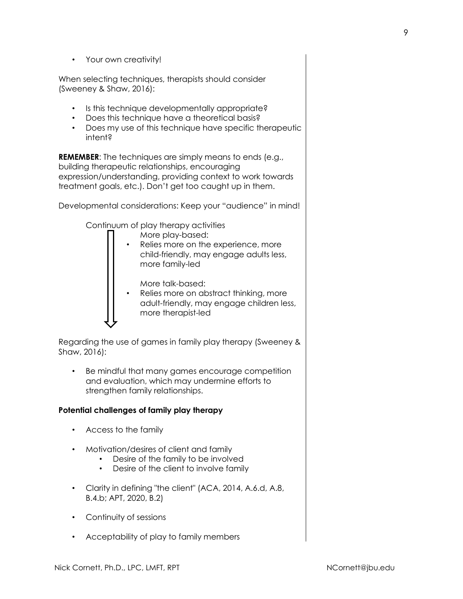• Your own creativity!

When selecting techniques, therapists should consider (Sweeney & Shaw, 2016):

- Is this technique developmentally appropriate?
- Does this technique have a theoretical basis?
- Does my use of this technique have specific therapeutic intent?

**REMEMBER:** The techniques are simply means to ends (e.g., building therapeutic relationships, encouraging expression/understanding, providing context to work towards treatment goals, etc.). Don't get too caught up in them.

Developmental considerations: Keep your "audience" in mind!

Continuum of play therapy activities

More play-based: Relies more on the experience, more child-friendly, may engage adults less, more family-led

More talk-based:

Relies more on abstract thinking, more adult-friendly, may engage children less, more therapist-led

Regarding the use of games in family play therapy (Sweeney & Shaw, 2016):

Be mindful that many games encourage competition and evaluation, which may undermine efforts to strengthen family relationships.

#### **Potential challenges of family play therapy**

- Access to the family
- Motivation/desires of client and family
	- Desire of the family to be involved
	- Desire of the client to involve family
- Clarity in defining "the client" (ACA, 2014, A.6.d, A.8, B.4.b; APT, 2020, B.2)
- Continuity of sessions
- Acceptability of play to family members